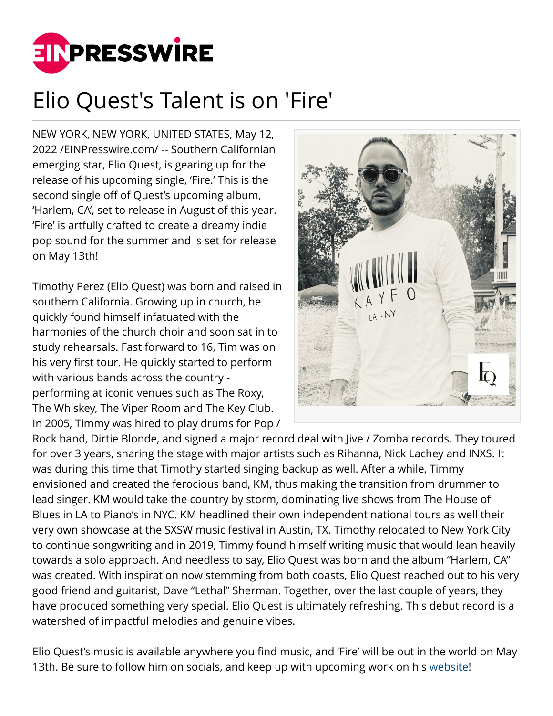

## Elio Quest's Talent is on 'Fire'

NEW YORK, NEW YORK, UNITED STATES, May 12, 2022 /[EINPresswire.com](http://www.einpresswire.com)/ -- Southern Californian emerging star, Elio Quest, is gearing up for the release of his upcoming single, 'Fire.' This is the second single off of Quest's upcoming album, 'Harlem, CA', set to release in August of this year. 'Fire' is artfully crafted to create a dreamy indie pop sound for the summer and is set for release on May 13th!

Timothy Perez (Elio Quest) was born and raised in southern California. Growing up in church, he quickly found himself infatuated with the harmonies of the church choir and soon sat in to study rehearsals. Fast forward to 16, Tim was on his very first tour. He quickly started to perform with various bands across the country performing at iconic venues such as The Roxy, The Whiskey, The Viper Room and The Key Club. In 2005, Timmy was hired to play drums for Pop /



Rock band, Dirtie Blonde, and signed a major record deal with Jive / Zomba records. They toured for over 3 years, sharing the stage with major artists such as Rihanna, Nick Lachey and INXS. It was during this time that Timothy started singing backup as well. After a while, Timmy envisioned and created the ferocious band, KM, thus making the transition from drummer to lead singer. KM would take the country by storm, dominating live shows from The House of Blues in LA to Piano's in NYC. KM headlined their own independent national tours as well their very own showcase at the SXSW music festival in Austin, TX. Timothy relocated to New York City to continue songwriting and in 2019, Timmy found himself writing music that would lean heavily towards a solo approach. And needless to say, Elio Quest was born and the album "Harlem, CA" was created. With inspiration now stemming from both coasts, Elio Quest reached out to his very good friend and guitarist, Dave "Lethal" Sherman. Together, over the last couple of years, they have produced something very special. Elio Quest is ultimately refreshing. This debut record is a watershed of impactful melodies and genuine vibes.

Elio Quest's music is available anywhere you find music, and 'Fire' will be out in the world on May 13th. Be sure to follow him on socials, and keep up with upcoming work on his [website!](https://www.elioquest.com)